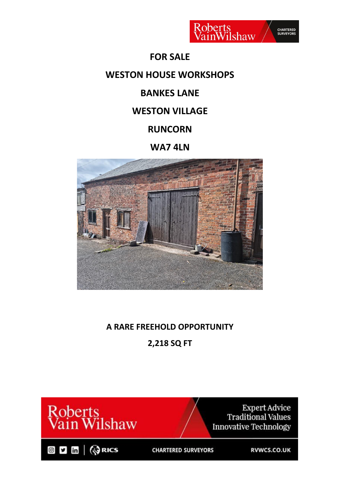

### **FOR SALE**

# **WESTON HOUSE WORKSHOPS**

# **BANKES LANE**

### **WESTON VILLAGE**

# **RUNCORN**

# **WA7 4LN**



# **A RARE FREEHOLD OPPORTUNITY**

**2,218 SQ FT**